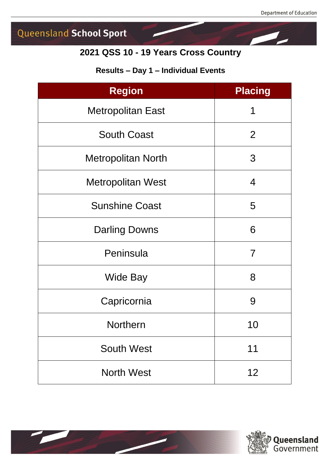## **2021 QSS 10 - 19 Years Cross Country**

#### **Results – Day 1 – Individual Events**

| <b>Region</b>             | <b>Placing</b> |
|---------------------------|----------------|
| <b>Metropolitan East</b>  | 1              |
| <b>South Coast</b>        | 2              |
| <b>Metropolitan North</b> | 3              |
| <b>Metropolitan West</b>  | 4              |
| <b>Sunshine Coast</b>     | 5              |
| <b>Darling Downs</b>      | 6              |
| Peninsula                 | $\overline{7}$ |
| <b>Wide Bay</b>           | 8              |
| Capricornia               | 9              |
| <b>Northern</b>           | 10             |
| <b>South West</b>         | 11             |
| <b>North West</b>         | 12             |



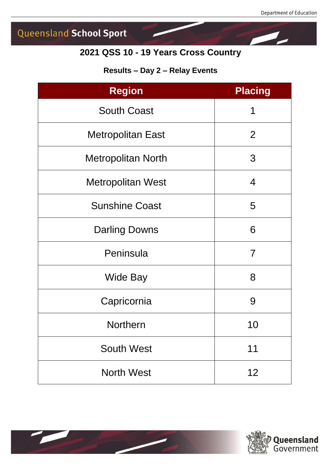## **2021 QSS 10 - 19 Years Cross Country**

#### **Results – Day 2 – Relay Events**

| <b>Region</b>             | <b>Placing</b> |
|---------------------------|----------------|
| <b>South Coast</b>        | 1              |
| <b>Metropolitan East</b>  | $\overline{2}$ |
| <b>Metropolitan North</b> | 3              |
| <b>Metropolitan West</b>  | 4              |
| <b>Sunshine Coast</b>     | 5              |
| <b>Darling Downs</b>      | 6              |
| Peninsula                 | 7              |
| <b>Wide Bay</b>           | 8              |
| Capricornia               | 9              |
| <b>Northern</b>           | 10             |
| <b>South West</b>         | 11             |
| <b>North West</b>         | 12             |



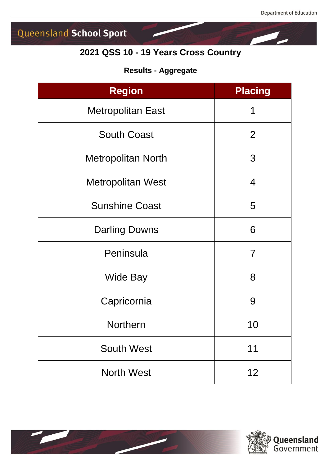## **2021 QSS 10 - 19 Years Cross Country**

#### **Results - Aggregate**

| <b>Region</b>             | <b>Placing</b> |
|---------------------------|----------------|
| <b>Metropolitan East</b>  | 1              |
| <b>South Coast</b>        | 2              |
| <b>Metropolitan North</b> | 3              |
| <b>Metropolitan West</b>  | 4              |
| <b>Sunshine Coast</b>     | 5              |
| <b>Darling Downs</b>      | 6              |
| Peninsula                 | 7              |
| <b>Wide Bay</b>           | 8              |
| Capricornia               | 9              |
| <b>Northern</b>           | 10             |
| <b>South West</b>         | 11             |
| <b>North West</b>         | 12             |



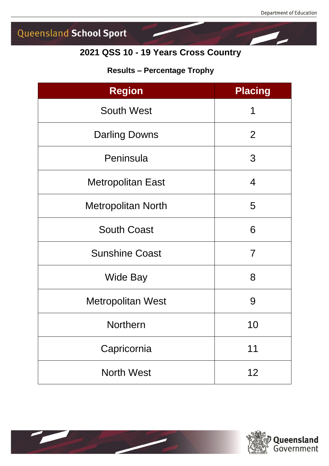## **2021 QSS 10 - 19 Years Cross Country**

#### **Results – Percentage Trophy**

| <b>Region</b>             | <b>Placing</b> |
|---------------------------|----------------|
| <b>South West</b>         | 1              |
| <b>Darling Downs</b>      | $\overline{2}$ |
| Peninsula                 | 3              |
| <b>Metropolitan East</b>  | 4              |
| <b>Metropolitan North</b> | 5              |
| <b>South Coast</b>        | 6              |
| <b>Sunshine Coast</b>     | $\overline{7}$ |
| <b>Wide Bay</b>           | 8              |
| <b>Metropolitan West</b>  | 9              |
| <b>Northern</b>           | 10             |
| Capricornia               | 11             |
| <b>North West</b>         | 12             |